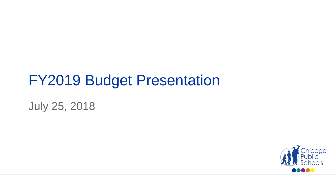# FY2019 Budget Presentation

July 25, 2018

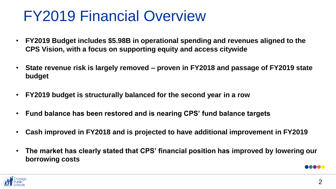# FY2019 Financial Overview

- **FY2019 Budget includes \$5.98B in operational spending and revenues aligned to the CPS Vision, with a focus on supporting equity and access citywide**
- **State revenue risk is largely removed – proven in FY2018 and passage of FY2019 state budget**
- **FY2019 budget is structurally balanced for the second year in a row**
- **Fund balance has been restored and is nearing CPS' fund balance targets**
- **Cash improved in FY2018 and is projected to have additional improvement in FY2019**
- **The market has clearly stated that CPS' financial position has improved by lowering our borrowing costs**



**DO OO GE**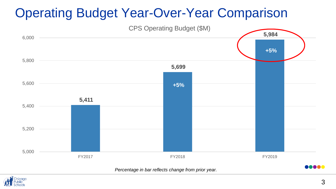## Operating Budget Year-Over-Year Comparison

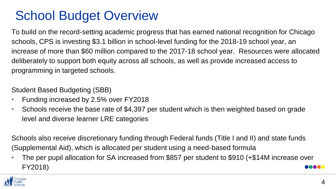## School Budget Overview

To build on the record-setting academic progress that has earned national recognition for Chicago schools, CPS is investing \$3.1 billion in school-level funding for the 2018-19 school year, an increase of more than \$60 million compared to the 2017-18 school year. Resources were allocated deliberately to support both equity across all schools, as well as provide increased access to programming in targeted schools.

Student Based Budgeting (SBB)

- Funding increased by 2.5% over FY2018
- Schools receive the base rate of \$4,397 per student which is then weighted based on grade level and diverse learner LRE categories

Schools also receive discretionary funding through Federal funds (Title I and II) and state funds (Supplemental Aid), which is allocated per student using a need-based formula

• The per pupil allocation for SA increased from \$857 per student to \$910 (+\$14M increase over FY2018) **MANA** 

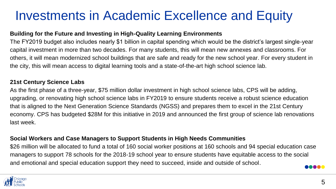## Investments in Academic Excellence and Equity

#### **Building for the Future and Investing in High-Quality Learning Environments**

The FY2019 budget also includes nearly \$1 billion in capital spending which would be the district's largest single-year capital investment in more than two decades. For many students, this will mean new annexes and classrooms. For others, it will mean modernized school buildings that are safe and ready for the new school year. For every student in the city, this will mean access to digital learning tools and a state-of-the-art high school science lab.

#### **21st Century Science Labs**

As the first phase of a three-year, \$75 million dollar investment in high school science labs, CPS will be adding, upgrading, or renovating high school science labs in FY2019 to ensure students receive a robust science education that is aligned to the Next Generation Science Standards (NGSS) and prepares them to excel in the 21st Century economy. CPS has budgeted \$28M for this initiative in 2019 and announced the first group of science lab renovations last week.

#### **Social Workers and Case Managers to Support Students in High Needs Communities**

\$26 million will be allocated to fund a total of 160 social worker positions at 160 schools and 94 special education case managers to support 78 schools for the 2018-19 school year to ensure students have equitable access to the social and emotional and special education support they need to succeed, inside and outside of school. naaaa

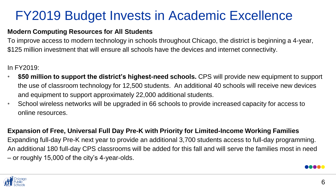## FY2019 Budget Invests in Academic Excellence

#### **Modern Computing Resources for All Students**

To improve access to modern technology in schools throughout Chicago, the district is beginning a 4-year, \$125 million investment that will ensure all schools have the devices and internet connectivity.

In FY2019:

- **\$50 million to support the district's highest-need schools.** CPS will provide new equipment to support the use of classroom technology for 12,500 students. An additional 40 schools will receive new devices and equipment to support approximately 22,000 additional students.
- School wireless networks will be upgraded in 66 schools to provide increased capacity for access to online resources.

**Expansion of Free, Universal Full Day Pre-K with Priority for Limited-Income Working Families** Expanding full-day Pre-K next year to provide an additional 3,700 students access to full-day programming. An additional 180 full-day CPS classrooms will be added for this fall and will serve the families most in need – or roughly 15,000 of the city's 4-year-olds.

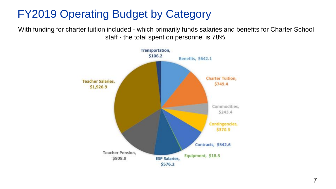### FY2019 Operating Budget by Category

With funding for charter tuition included - which primarily funds salaries and benefits for Charter School staff - the total spent on personnel is 78%.

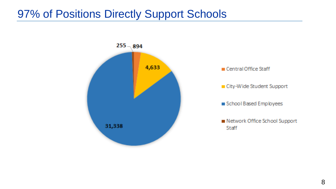#### 97% of Positions Directly Support Schools

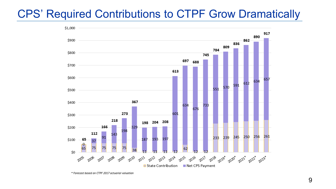### CPS' Required Contributions to CTPF Grow Dramatically



<sup>\*</sup> Forecast based on CTPF 2017 actuarial valuation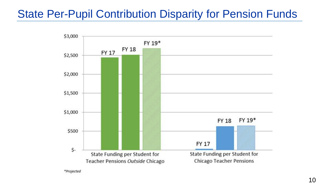### State Per-Pupil Contribution Disparity for Pension Funds



\*Projected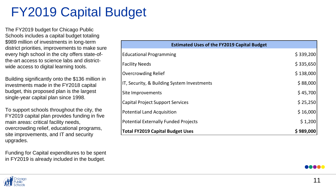## FY2019 Capital Budget

The FY2019 budget for Chicago Public Schools includes a capital budget totaling \$989 million of investments in long-term district priorities, improvements to make sure every high school in the city offers state-ofthe-art access to science labs and districtwide access to digital learning tools.

Building significantly onto the \$136 million in investments made in the FY2018 capital budget, this proposed plan is the largest single-year capital plan since 1998.

To support schools throughout the city, the FY2019 capital plan provides funding in five main areas: critical facility needs, overcrowding relief, educational programs, site improvements, and IT and security upgrades.

Funding for Capital expenditures to be spent in FY2019 is already included in the budget.

| <b>Estimated Uses of the FY2019 Capital Budget</b> |           |
|----------------------------------------------------|-----------|
| <b>Educational Programming</b>                     | \$339,200 |
| <b>Facility Needs</b>                              | \$335,650 |
| <b>Overcrowding Relief</b>                         | \$138,000 |
| IT, Security, & Building System Investments        | \$88,000  |
| Site Improvements                                  | \$45,700  |
| <b>Capital Project Support Services</b>            | \$25,250  |
| <b>Potential Land Acquisition</b>                  | \$16,000  |
| <b>Potential Externally Funded Projects</b>        | \$1,200   |
| <b>Total FY2019 Capital Budget Uses</b>            | \$989,000 |



eeea